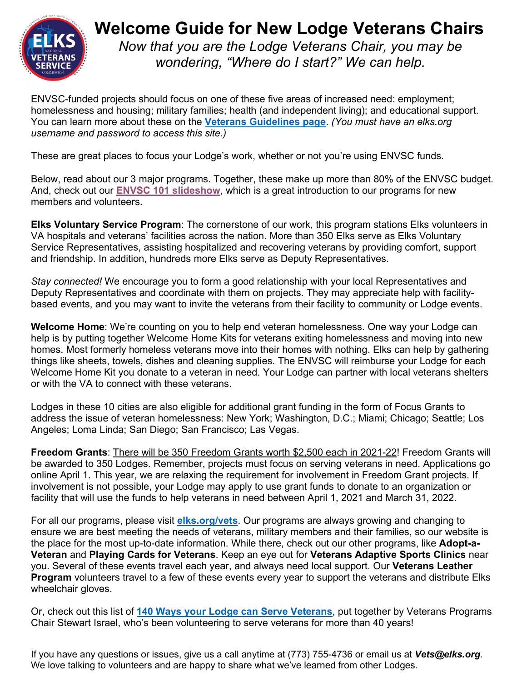

# **Welcome Guide for New Lodge Veterans Chairs** *Now that you are the Lodge Veterans Chair, you may be*

*wondering, "Where do I start?" We can help.*

ENVSC-funded projects should focus on one of these five areas of increased need: employment; homelessness and housing; military families; health (and independent living); and educational support. You can learn more about these on the **[Veterans Guidelines page](http://www.elks.org/cip/cipcentral/veterans.cfm)**. *(You must have an elks.org username and password to access this site.)* 

These are great places to focus your Lodge's work, whether or not you're using ENVSC funds.

Below, read about our 3 major programs. Together, these make up more than 80% of the ENVSC budget. And, check out our **[ENVSC 101 slideshow](https://www.elks.org/sharedelksorg/vets/ENVSC1012021reducedsize.pdf)**, which is a great introduction to our programs for new members and volunteers.

**Elks Voluntary Service Program**: The cornerstone of our work, this program stations Elks volunteers in VA hospitals and veterans' facilities across the nation. More than 350 Elks serve as Elks Voluntary Service Representatives, assisting hospitalized and recovering veterans by providing comfort, support and friendship. In addition, hundreds more Elks serve as Deputy Representatives.

*Stay connected!* We encourage you to form a good relationship with your local Representatives and Deputy Representatives and coordinate with them on projects. They may appreciate help with facilitybased events, and you may want to invite the veterans from their facility to community or Lodge events.

**Welcome Home**: We're counting on you to help end veteran homelessness. One way your Lodge can help is by putting together Welcome Home Kits for veterans exiting homelessness and moving into new homes. Most formerly homeless veterans move into their homes with nothing. Elks can help by gathering things like sheets, towels, dishes and cleaning supplies. The ENVSC will reimburse your Lodge for each Welcome Home Kit you donate to a veteran in need. Your Lodge can partner with local veterans shelters or with the VA to connect with these veterans.

Lodges in these 10 cities are also eligible for additional grant funding in the form of Focus Grants to address the issue of veteran homelessness: New York; Washington, D.C.; Miami; Chicago; Seattle; Los Angeles; Loma Linda; San Diego; San Francisco; Las Vegas.

**Freedom Grants**: There will be 350 Freedom Grants worth \$2,500 each in 2021-22! Freedom Grants will be awarded to 350 Lodges. Remember, projects must focus on serving veterans in need. Applications go online April 1. This year, we are relaxing the requirement for involvement in Freedom Grant projects. If involvement is not possible, your Lodge may apply to use grant funds to donate to an organization or facility that will use the funds to help veterans in need between April 1, 2021 and March 31, 2022.

For all our programs, please visit **[elks.org/vets](http://www.elks.org/vets)**. Our programs are always growing and changing to ensure we are best meeting the needs of veterans, military members and their families, so our website is the place for the most up-to-date information. While there, check out our other programs, like **Adopt-a-Veteran** and **Playing Cards for Veterans**. Keep an eye out for **Veterans Adaptive Sports Clinics** near you. Several of these events travel each year, and always need local support. Our **Veterans Leather Program** volunteers travel to a few of these events every year to support the veterans and distribute Elks wheelchair gloves.

Or, check out this list of **[140 Ways your Lodge](http://www.elks.org/SharedElksOrg/vets/Morethan140waystoserveveterans.pdf) can Serve Veterans**, put together by Veterans Programs Chair Stewart Israel, who's been volunteering to serve veterans for more than 40 years!

If you have any questions or issues, give us a call anytime at (773) 755-4736 or email us at *Vets@elks.org*. We love talking to volunteers and are happy to share what we've learned from other Lodges.